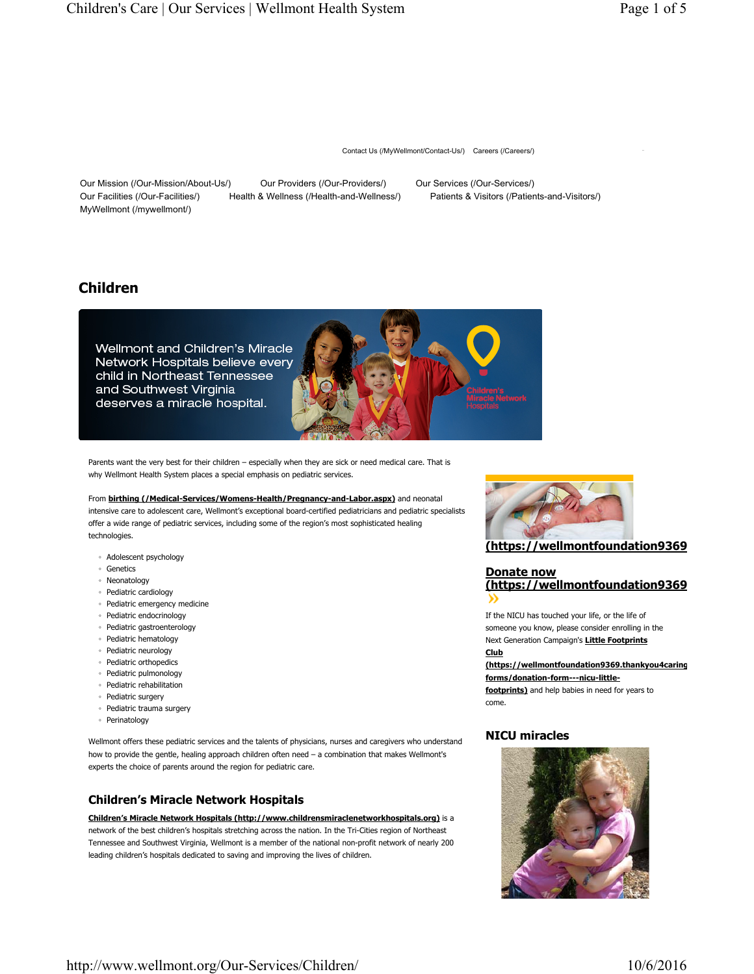Contact Us (/MyWellmont/Contact-Us/) Careers (/Careers/)

Our Mission (/Our-Mission/About-Us/) Our Providers (/Our-Providers/) Our Services (/Our-Services/) Our Facilities (/Our-Facilities/) Health & Wellness (/Health-and-Wellness/) Patients & Visitors (/Patients-and-Visitors/) MyWellmont (/mywellmont/)

# **Children**



Parents want the very best for their children – especially when they are sick or need medical care. That is why Wellmont Health System places a special emphasis on pediatric services.

From **birthing (/Medical-Services/Womens-Health/Pregnancy-and-Labor.aspx)** and neonatal intensive care to adolescent care, Wellmont's exceptional board-certified pediatricians and pediatric specialists offer a wide range of pediatric services, including some of the region's most sophisticated healing technologies.

- Adolescent psychology
- Genetics
- Neonatology
- Pediatric cardiology
- Pediatric emergency medicine
- Pediatric endocrinology
- Pediatric gastroenterology
- Pediatric hematology
- Pediatric neurology
- Pediatric orthopedics
- Pediatric pulmonology
- Pediatric rehabilitation
- Pediatric surgery
- Pediatric trauma surgery
- Perinatology

Wellmont offers these pediatric services and the talents of physicians, nurses and caregivers who understand how to provide the gentle, healing approach children often need – a combination that makes Wellmont's experts the choice of parents around the region for pediatric care.

## **Children's Miracle Network Hospitals**

**Children's Miracle Network Hospitals (http://www.childrensmiraclenetworkhospitals.org)** is a network of the best children's hospitals stretching across the nation. In the Tri-Cities region of Northeast Tennessee and Southwest Virginia, Wellmont is a member of the national non-profit network of nearly 200 leading children's hospitals dedicated to saving and improving the lives of children.



**(https://wellmontfoundation9369**

# **Donate now (https://wellmontfoundation9369**

If the NICU has touched your life, or the life of someone you know, please consider enrolling in the Next Generation Campaign's **Little Footprints Club**

**(https://wellmontfoundation9369.thankyou4caring forms/donation-form---nicu-little-**

**footprints)** and help babies in need for years to come.

## **NICU miracles**

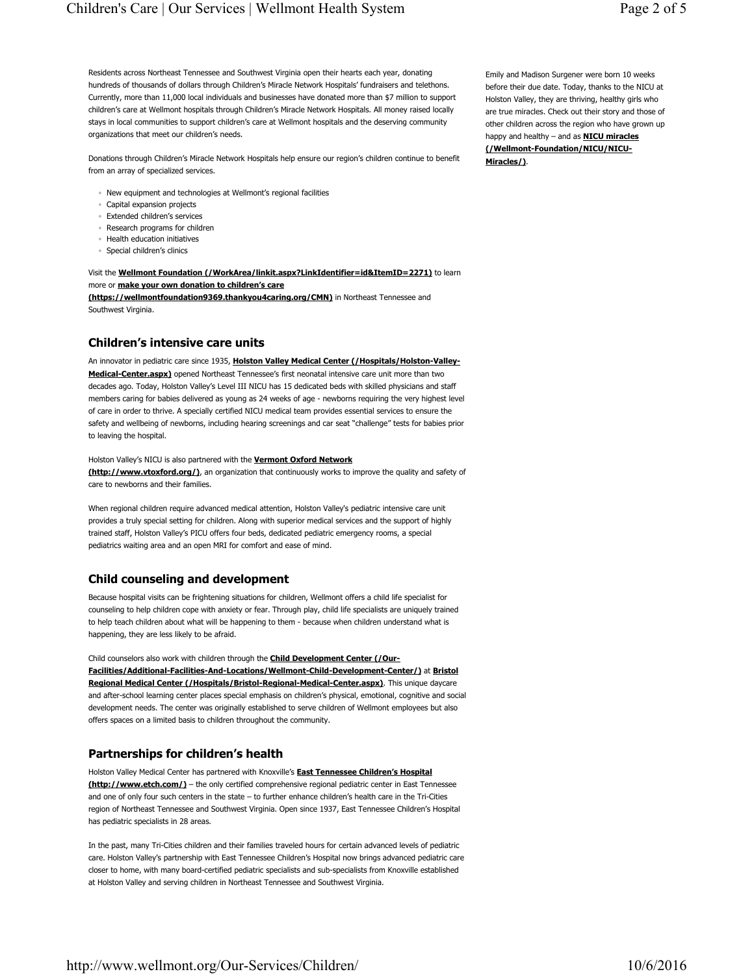Residents across Northeast Tennessee and Southwest Virginia open their hearts each year, donating hundreds of thousands of dollars through Children's Miracle Network Hospitals' fundraisers and telethons. Currently, more than 11,000 local individuals and businesses have donated more than \$7 million to support children's care at Wellmont hospitals through Children's Miracle Network Hospitals. All money raised locally stays in local communities to support children's care at Wellmont hospitals and the deserving community organizations that meet our children's needs.

Donations through Children's Miracle Network Hospitals help ensure our region's children continue to benefit from an array of specialized services.

- New equipment and technologies at Wellmont's regional facilities
- Capital expansion projects
- Extended children's services
- Research programs for children
- Health education initiatives
- Special children's clinics

Visit the **Wellmont Foundation (/WorkArea/linkit.aspx?LinkIdentifier=id&ItemID=2271)** to learn more or **make your own donation to children's care**

**(https://wellmontfoundation9369.thankyou4caring.org/CMN)** in Northeast Tennessee and Southwest Virginia.

#### **Children's intensive care units**

An innovator in pediatric care since 1935, **Holston Valley Medical Center (/Hospitals/Holston-Valley-Medical-Center.aspx)** opened Northeast Tennessee's first neonatal intensive care unit more than two decades ago. Today, Holston Valley's Level III NICU has 15 dedicated beds with skilled physicians and staff members caring for babies delivered as young as 24 weeks of age - newborns requiring the very highest level of care in order to thrive. A specially certified NICU medical team provides essential services to ensure the safety and wellbeing of newborns, including hearing screenings and car seat "challenge" tests for babies prior to leaving the hospital.

Holston Valley's NICU is also partnered with the **Vermont Oxford Network (http://www.vtoxford.org/)**, an organization that continuously works to improve the quality and safety of care to newborns and their families.

When regional children require advanced medical attention, Holston Valley's pediatric intensive care unit provides a truly special setting for children. Along with superior medical services and the support of highly trained staff, Holston Valley's PICU offers four beds, dedicated pediatric emergency rooms, a special pediatrics waiting area and an open MRI for comfort and ease of mind.

### **Child counseling and development**

Because hospital visits can be frightening situations for children, Wellmont offers a child life specialist for counseling to help children cope with anxiety or fear. Through play, child life specialists are uniquely trained to help teach children about what will be happening to them - because when children understand what is happening, they are less likely to be afraid.

Child counselors also work with children through the **Child Development Center (/Our-Facilities/Additional-Facilities-And-Locations/Wellmont-Child-Development-Center/)** at **Bristol Regional Medical Center (/Hospitals/Bristol-Regional-Medical-Center.aspx)**. This unique daycare and after-school learning center places special emphasis on children's physical, emotional, cognitive and social development needs. The center was originally established to serve children of Wellmont employees but also offers spaces on a limited basis to children throughout the community.

### **Partnerships for children's health**

Holston Valley Medical Center has partnered with Knoxville's **East Tennessee Children's Hospital (http://www.etch.com/)** – the only certified comprehensive regional pediatric center in East Tennessee and one of only four such centers in the state – to further enhance children's health care in the Tri-Cities region of Northeast Tennessee and Southwest Virginia. Open since 1937, East Tennessee Children's Hospital has pediatric specialists in 28 areas.

In the past, many Tri-Cities children and their families traveled hours for certain advanced levels of pediatric care. Holston Valley's partnership with East Tennessee Children's Hospital now brings advanced pediatric care closer to home, with many board-certified pediatric specialists and sub-specialists from Knoxville established at Holston Valley and serving children in Northeast Tennessee and Southwest Virginia.

Emily and Madison Surgener were born 10 weeks before their due date. Today, thanks to the NICU at Holston Valley, they are thriving, healthy girls who are true miracles. Check out their story and those of other children across the region who have grown up happy and healthy – and as **NICU miracles (/Wellmont-Foundation/NICU/NICU-Miracles/)**.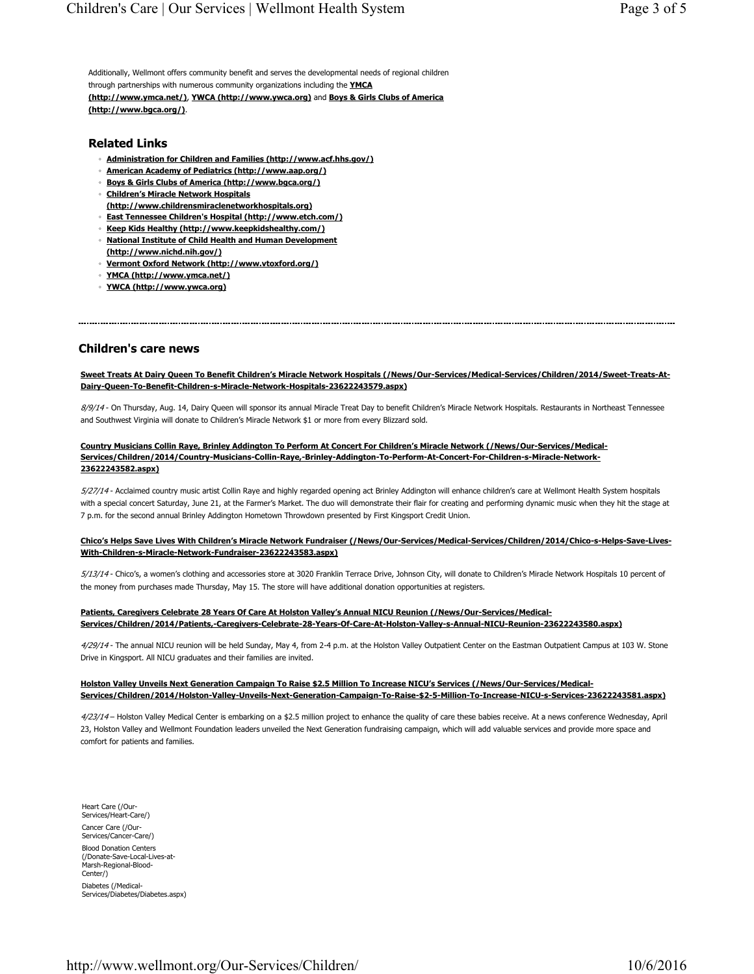Additionally, Wellmont offers community benefit and serves the developmental needs of regional children through partnerships with numerous community organizations including the **YMCA**

**(http://www.ymca.net/)**, **YWCA (http://www.ywca.org)** and **Boys & Girls Clubs of America (http://www.bgca.org/)**.

## **Related Links**

- **Administration for Children and Families (http://www.acf.hhs.gov/)**
- **American Academy of Pediatrics (http://www.aap.org/)**
- **Boys & Girls Clubs of America (http://www.bgca.org/)**
- **Children's Miracle Network Hospitals (http://www.childrensmiraclenetworkhospitals.org)**
- **East Tennessee Children's Hospital (http://www.etch.com/)**
- **Keep Kids Healthy (http://www.keepkidshealthy.com/)**
- **National Institute of Child Health and Human Development**
- **(http://www.nichd.nih.gov/)** ◦ **Vermont Oxford Network (http://www.vtoxford.org/)**
- **YMCA (http://www.ymca.net/)**
- **YWCA (http://www.ywca.org)**

# **Children's care news**

**Sweet Treats At Dairy Queen To Benefit Children's Miracle Network Hospitals (/News/Our-Services/Medical-Services/Children/2014/Sweet-Treats-At-Dairy-Queen-To-Benefit-Children-s-Miracle-Network-Hospitals-23622243579.aspx)**

8/9/14 - On Thursday, Aug. 14, Dairy Queen will sponsor its annual Miracle Treat Day to benefit Children's Miracle Network Hospitals. Restaurants in Northeast Tennessee and Southwest Virginia will donate to Children's Miracle Network \$1 or more from every Blizzard sold.

#### **Country Musicians Collin Raye, Brinley Addington To Perform At Concert For Children's Miracle Network (/News/Our-Services/Medical-Services/Children/2014/Country-Musicians-Collin-Raye,-Brinley-Addington-To-Perform-At-Concert-For-Children-s-Miracle-Network-23622243582.aspx)**

5/27/14 - Acclaimed country music artist Collin Raye and highly regarded opening act Brinley Addington will enhance children's care at Wellmont Health System hospitals with a special concert Saturday, June 21, at the Farmer's Market. The duo will demonstrate their flair for creating and performing dynamic music when they hit the stage at 7 p.m. for the second annual Brinley Addington Hometown Throwdown presented by First Kingsport Credit Union.

#### **Chico's Helps Save Lives With Children's Miracle Network Fundraiser (/News/Our-Services/Medical-Services/Children/2014/Chico-s-Helps-Save-Lives-With-Children-s-Miracle-Network-Fundraiser-23622243583.aspx)**

5/13/14 - Chico's, a women's clothing and accessories store at 3020 Franklin Terrace Drive, Johnson City, will donate to Children's Miracle Network Hospitals 10 percent of the money from purchases made Thursday, May 15. The store will have additional donation opportunities at registers.

### **Patients, Caregivers Celebrate 28 Years Of Care At Holston Valley's Annual NICU Reunion (/News/Our-Services/Medical-Services/Children/2014/Patients,-Caregivers-Celebrate-28-Years-Of-Care-At-Holston-Valley-s-Annual-NICU-Reunion-23622243580.aspx)**

4/29/14 - The annual NICU reunion will be held Sunday, May 4, from 2-4 p.m. at the Holston Valley Outpatient Center on the Eastman Outpatient Campus at 103 W. Stone Drive in Kingsport. All NICU graduates and their families are invited.

#### **Holston Valley Unveils Next Generation Campaign To Raise \$2.5 Million To Increase NICU's Services (/News/Our-Services/Medical-Services/Children/2014/Holston-Valley-Unveils-Next-Generation-Campaign-To-Raise-\$2-5-Million-To-Increase-NICU-s-Services-23622243581.aspx)**

4/23/14 - Holston Valley Medical Center is embarking on a \$2.5 million project to enhance the quality of care these babies receive. At a news conference Wednesday, April 23, Holston Valley and Wellmont Foundation leaders unveiled the Next Generation fundraising campaign, which will add valuable services and provide more space and comfort for patients and families.

Heart Care (/Our-Services/Heart-Care/) Cancer Care (/Our-

Services/Cancer-Care/)

Blood Donation Centers (/Donate-Save-Local-Lives-at-Marsh-Regional-Blood-Center/)

Diabetes (/Medical-Services/Diabetes/Diabetes.aspx)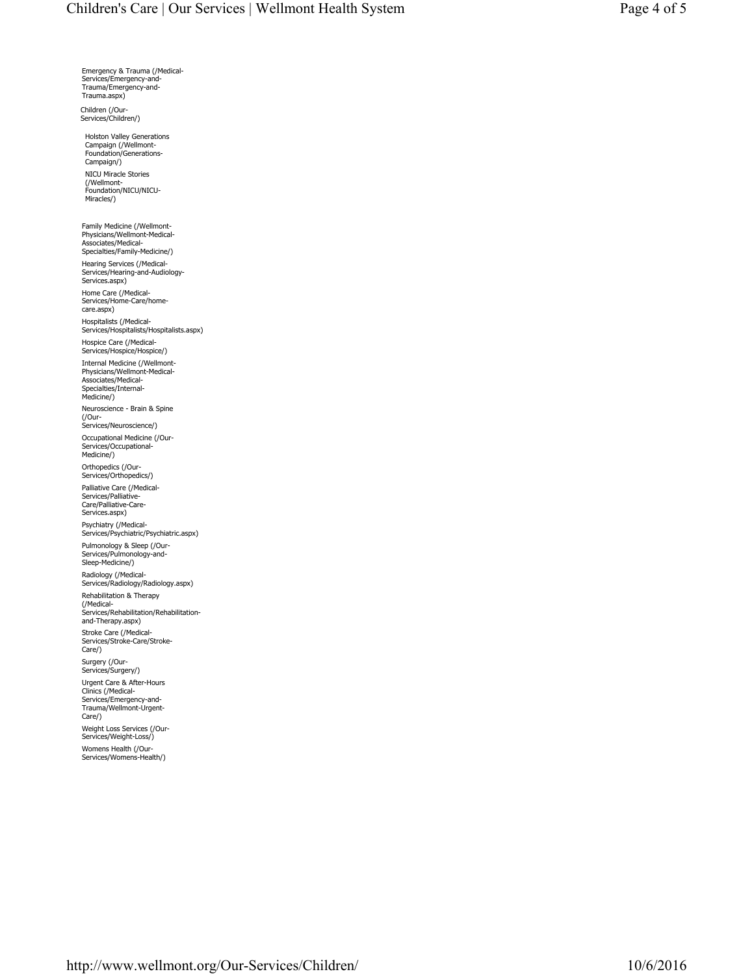Emergency & Trauma (/Medical-Services/Emergency-and-Trauma/Emergency-and-Trauma.aspx)

Children (/Our-Services/Children/)

Holston Valley Generations Campaign (/Wellmont-Foundation/Generations-Campaign/) NICU Miracle Stories (/Wellmont-Foundation/NICU/NICU-Miracles/)

Family Medicine (/Wellmont-Physicians/Wellmont-Medical-Associates/Medical-Specialties/Family-Medicine/) Hearing Services (/Medical-Services/Hearing-and-Audiology-Services.aspx) Home Care (/Medical-Services/Home-Care/homecare.aspx) Hospitalists (/Medical-Services/Hospitalists/Hospitalists.aspx) Hospice Care (/Medical-Services/Hospice/Hospice/) Internal Medicine (/Wellmont-Physicians/Wellmont-Medical-Associates/Medical-Specialties/Internal-Medicine/) Neuroscience - Brain & Spine (/Our-Services/Neuroscience/) Occupational Medicine (/Our-Services/Occupational-Medicine/) Orthopedics (/Our-Services/Orthopedics/) Palliative Care (/Medical-Services/Palliative-Care/Palliative-Care-Services.aspx) Psychiatry (/Medical-Services/Psychiatric/Psychiatric.aspx) Pulmonology & Sleep (/Our-Services/Pulmonology-and-Sleep-Medicine/) Radiology (/Medical-Services/Radiology/Radiology.aspx) Rehabilitation & Therapy (/Medical-Services/Rehabilitation/Rehabilitation-and-Therapy.aspx)

Stroke Care (/Medical-Services/Stroke-Care/Stroke-Care/)

Surgery (/Our-Services/Surgery/) Urgent Care & After-Hours Clinics (/Medical-Services/Emergency-and-Trauma/Wellmont-Urgent-

Care/) Weight Loss Services (/Our-Services/Weight-Loss/) Womens Health (/Our-Services/Womens-Health/)